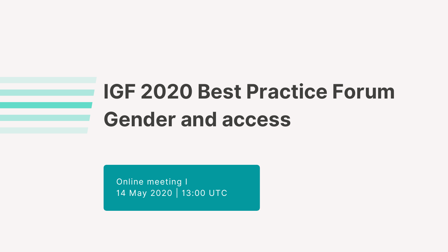# **IGF 2020 Best Practice Forum Gender and access**

Online meeting I 14 May 2020 | 13:00 UTC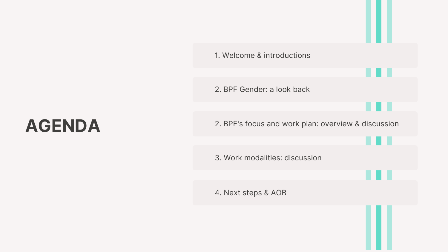### **AGENDA**

1. Welcome & introductions



3. Work modalities: discussion

4. Next steps & AOB

2. BPF Gender: a look back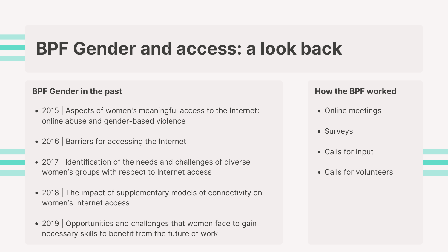### **BPF Gender and access: a look back**

#### **BPF Gender in the past**

- 2015 | Aspects of women's meaningful access to the Internet: online abuse and gender-based violence
- 2016 | Barriers for accessing the Internet
- 2017 | Identification of the needs and challenges of diverse women's groups with respect to Internet access
- 2018 The impact of supplementary models of connectivity on women's Internet access
- 2019 | Opportunities and challenges that women face to gain necessary skills to benefit from the future of work
- Online meetings
- Surveys
- Calls for input
- Calls for volunteers

### **How the BPF worked**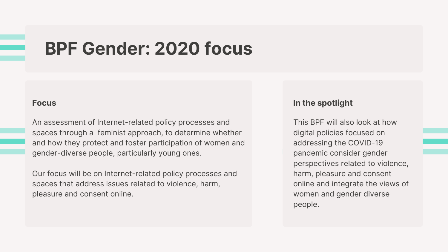### **BPF Gender: 2020 focus**

#### **Focus**

An assessment of Internet-related policy processes and spaces through a feminist approach, to determine whether and how they protect and foster participation of women and gender-diverse people, particularly young ones.

Our focus will be on Internet-related policy processes and spaces that address issues related to violence, harm, pleasure and consent online.

### **In the spotlight**

This BPF will also look at how digital policies focused on addressing the COVID-19 pandemic consider gender perspectives related to violence, harm, pleasure and consent online and integrate the views of women and gender diverse people.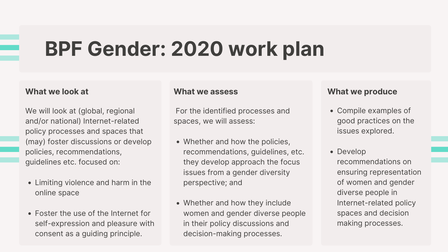## **BPF Gender: 2020 work plan**

#### **What we look at**

- Limiting violence and harm in the online space
- Foster the use of the Internet for self-expression and pleasure with consent as a guiding principle.

We will look at (global, regional and/or national) Internet-related policy processes and spaces that (may) foster discussions or develop policies, recommendations, guidelines etc. focused on:

- Whether and how the policies, recommendations, guidelines, etc. they develop approach the focus issues from a gender diversity perspective; and
- Whether and how they include women and gender diverse people in their policy discussions and decision-making processes.

#### **What we assess**

For the identified processes and spaces, we will assess:

- Compile examples of good practices on the issues explored.
- Develop recommendations on ensuring representation of women and gender diverse people in Internet-related policy spaces and decision making processes.

#### **What we produce**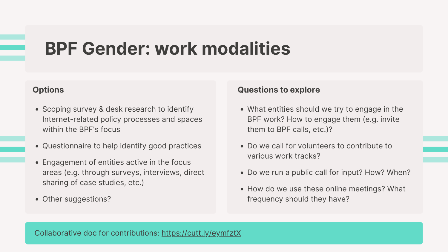### **BPF Gender: work modalities**

#### **Options**

- Scoping survey & desk research to identify Internet-related policy processes and spaces within the BPF's focus
- Questionnaire to help identify good practices
- Engagement of entities active in the focus areas (e.g. through surveys, interviews, direct sharing of case studies, etc.)
- Other suggestions?

• How do we use these online meetings? What frequency should they have?

#### **Questions to explore**

- 
- 
- 
- 

What entities should we try to engage in the BPF work? How to engage them (e.g. invite them to BPF calls, etc.)?

Do we call for volunteers to contribute to various work tracks?

• Do we run a public call for input? How? When?

Collaborative doc for contributions: <https://cutt.ly/eymfztX>